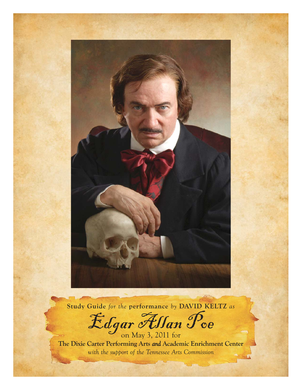

**Study Guide** *for the* **performance** *by* **DAVID KELTZ** *as*

Edgar Allan Poe

**The Dixie Carter Performing Arts** *and* **Academic Enrichment Center**  *with the support of the Tennessee Arts Commission*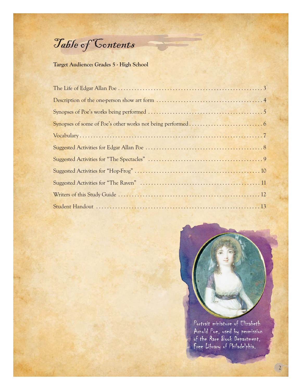Table of Contents

### **Target Audience: Grades 5 - High School**



Portrait miniature of Elizabeth Arnold Poe, used by permission of the Rare Book Department, Free Library of Philadelphia.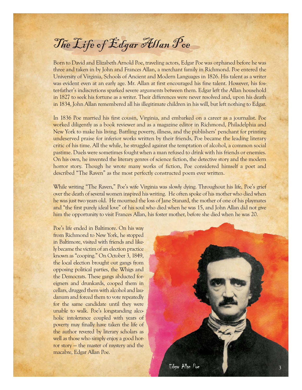# The Life of Edgar Allan Poe

Born to David and Elizabeth Arnold Poe, traveling actors, Edgar Poe was orphaned before he was three and taken in by John and Frances Allan, a merchant family in Richmond. Poe entered the University of Virginia, Schools of Ancient and Modern Languages in 1826. His talent as a writer was evident even at an early age. Mr. Allan at first encouraged his fine talent. However, his foster-father's indiscretions sparked severe arguments between them. Edgar left the Allan household in 1827 to seek his fortune as a writer. Their differences were never resolved and, upon his death in 1834, John Allan remembered all his illegitimate children in his will, but left nothing to Edgar.

In 1836 Poe married his first cousin, Virginia, and embarked on a career as a journalist. Poe worked diligently as a book reviewer and as a magazine editor in Richmond, Philadelphia and New York to make his living. Battling poverty, illness, and the publishers' penchant for printing undeserved praise for inferior works written by their friends, Poe became the leading literary critic of his time. All the while, he struggled against the temptation of alcohol, a common social pastime. Duels were sometimes fought when a man refused to drink with his friends or enemies. On his own, he invented the literary genres of science fiction, the detective story and the modern horror story. Though he wrote many works of fiction, Poe considered himself a poet and described "The Raven" as the most perfectly constructed poem ever written.

While writing "The Raven," Poe's wife Virginia was slowly dying. Throughout his life, Poe's grief over the death of several women inspired his writing. He often spoke of his mother who died when he was just two years old. He mourned the loss of Jane Stanard, the mother of one of his playmates and "the first purely ideal love" of his soul who died when he was 15, and John Allan did not give him the opportunity to visit Frances Allan, his foster mother, before she died when he was 20.

Poe's life ended in Baltimore. On his way from Richmond to New York, he stopped in Baltimore, visited with friends and likely became the victim of an election practice known as "cooping." On October 3, 1849, the local election brought out gangs from opposing political parties, the Whigs and the Democrats. These gangs abducted foreigners and drunkards, cooped them in cellars, drugged them with alcohol and laudanum and forced them to vote repeatedly for the same candidate until they were unable to walk. Poe's longstanding alcoholic intolerance coupled with years of poverty may finally have taken the life of the author revered by literary scholars as well as those who simply enjoy a good horror story — the master of mystery and the macabre, Edgar Allan Poe.

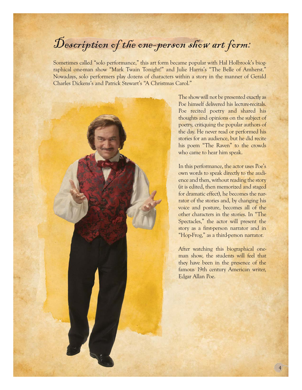# Description of the one-person show art form:

Sometimes called "solo performance," this art form became popular with Hal Holbrook's biographical one-man show "Mark Twain Tonight!" and Julie Harris's "The Belle of Amherst." Nowadays, solo performers play dozens of characters within a story in the manner of Gerald Charles Dickens's and Patrick Stewart's "A Christmas Carol."



The show will not be presented exactly as Poe himself delivered his lecture-recitals. Poe recited poetry and shared his thoughts and opinions on the subject of poetry, critiquing the popular authors of the day. He never read or performed his stories for an audience, but he did recite his poem "The Raven" to the crowds who came to hear him speak.

In this performance, the actor uses Poe's own words to speak directly to the audience and then, without reading the story (it is edited, then memorized and staged for dramatic effect), he becomes the narrator of the stories and, by changing his voice and posture, becomes all of the other characters in the stories. In "The Spectacles," the actor will present the story as a first-person narrator and in "Hop-Frog," as a third-person narrator.

After watching this biographical oneman show, the students will feel that they have been in the presence of the famous 19th century American writer, Edgar Allan Poe.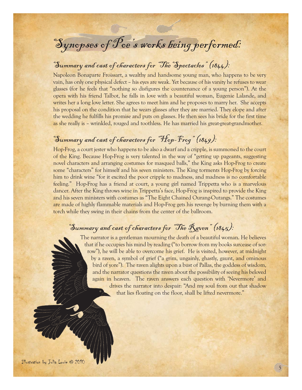# Synopses of Poe's works being performed:

## Summary and cast of characters for "The Spectacles" (1844):

Napoleon Bonaparte Froissart, a wealthy and handsome young man, who happens to be very vain, has only one physical defect – his eyes are weak. Yet because of his vanity he refuses to wear glasses (for he feels that "nothing so disfigures the countenance of a young person"). At the opera with his friend Talbot, he falls in love with a beautiful woman, Eugenie Lalande, and writes her a long love letter. She agrees to meet him and he proposes to marry her. She accepts his proposal on the condition that he wears glasses after they are married. They elope and after the wedding he fulfills his promise and puts on glasses. He then sees his bride for the first time as she really is – wrinkled, rouged and toothless. He has married his great-great-grandmother.

## Summary and cast of characters for "Hop-Frog" (1849):

Hop-Frog, a court jester who happens to be also a dwarf and a cripple, is summoned to the court of the King. Because Hop-Frog is very talented in the way of "getting up pageants, suggesting novel characters and arranging costumes for masqued balls," the King asks Hop-Frog to create some "characters" for himself and his seven ministers. The King torments Hop-Frog by forcing him to drink wine "for it excited the poor cripple to madness, and madness is no comfortable feeling." Hop-Frog has a friend at court, a young girl named Trippetta who is a marvelous dancer. After the King throws wine in Trippetta's face, Hop-Frog is inspired to provide the King and his seven ministers with costumes as "The Eight Chained Ourang-Outangs." The costumes are made of highly flammable materials and Hop-Frog gets his revenge by burning them with a torch while they swing in their chains from the center of the ballroom.

### Summary and cast of characters for "The Raven" (1845):

The narrator is a gentleman mourning the death of a beautiful woman. He believes that if he occupies his mind by reading ("to borrow from my books surcease of sorrow"), he will be able to overcome his grief. He is visited, however, at midnight by a raven, a symbol of grief ("a grim, ungainly, ghastly, gaunt, and ominous bird of yore"). The raven alights upon a bust of Pallas, the goddess of wisdom, and the narrator questions the raven about the possibility of seeing his beloved again in heaven. The raven answers each question with 'Nevermore' and drives the narrator into despair: "And my soul from out that shadow that lies floating on the floor, shall be lifted nevermore."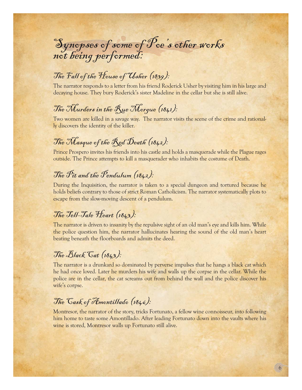# Synopses of some of Poe's other works not being performed:

## The Fall of the House of Usher (1839):

The narrator responds to a letter from his friend Roderick Usher by visiting him in his large and decaying house. They bury Roderick's sister Madeline in the cellar but she is still alive.

## The Murders in the Rue Morque (1841):

Two women are killed in a savage way. The narrator visits the scene of the crime and rationally discovers the identity of the killer.

## The Masque of the Red Death (1842):

Prince Prospero invites his friends into his castle and holds a masquerade while the Plague rages outside. The Prince attempts to kill a masquerader who inhabits the costume of Death.

## The  $\mathcal{P}_i$ t and the  $\mathcal{P}$ endulum (1842):

During the Inquisition, the narrator is taken to a special dungeon and tortured because he holds beliefs contrary to those of strict Roman Catholicism. The narrator systematically plots to escape from the slow-moving descent of a pendulum.

## The Tell-Tale Heart (1843):

The narrator is driven to insanity by the repulsive sight of an old man's eye and kills him. While the police question him, the narrator hallucinates hearing the sound of the old man's heart beating beneath the floorboards and admits the deed.

## The Black Cat (1843):

The narrator is a drunkard so dominated by perverse impulses that he hangs a black cat which he had once loved. Later he murders his wife and walls up the corpse in the cellar. While the police are in the cellar, the cat screams out from behind the wall and the police discover his wife's corpse.

## The Cask of Amontillado (1846):

Montresor, the narrator of the story, tricks Fortunato, a fellow wine connoisseur, into following him home to taste some Amontillado. After leading Fortunato down into the vaults where his wine is stored, Montresor walls up Fortunato still alive.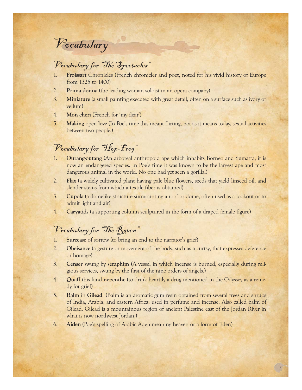# Vocabulary

### Vocabulary for "The Spectacles"

- 1. **Froissart** Chronicles (French chronicler and poet, noted for his vivid history of Europe from 1325 to 1400)
- 2. **Prima donna** (the leading woman soloist in an opera company)
- 3. **Miniature** (a small painting executed with great detail, often on a surface such as ivory or vellum)
- 4. **Mon cheri** (French for 'my dear')
- 5. **Making** open **love** (In Poe's time this meant flirting, not as it means today, sexual activities between two people.)

## Vocabulary for "Hop-Frog"

- 1. **Ourang-outang** (An arboreal anthropoid ape which inhabits Borneo and Sumatra, it is now an endangered species. In Poe's time it was known to be the largest ape and most dangerous animal in the world. No one had yet seen a gorilla.)
- 2. **Flax** (a widely cultivated plant having pale blue flowers, seeds that yield linseed oil, and slender stems from which a textile fiber is obtained)
- 3. **Cupola** (a domelike structure surmounting a roof or dome, often used as a lookout or to admit light and air)
- 4. **Caryatids** (a supporting column sculptured in the form of a draped female figure)

### Vocabulary for "The Raven"

- 1. **Surcease** of sorrow (to bring an end to the narrator's grief)
- 2. **Obeisance** (a gesture or movement of the body, such as a curtsy, that expresses deference or homage)
- 3. **Censer** swung by **seraphim** (A vessel in which incense is burned, especially during religious services, swung by the first of the nine orders of angels.)
- 4. **Quaff** this kind **nepenthe** (to drink heartily a drug mentioned in the Odyssey as a remedy for grief)
- 5. **Balm** in **Gilead** (Balm is an aromatic gum resin obtained from several trees and shrubs of India, Arabia, and eastern Africa, used in perfume and incense. Also called balm of Gilead. Gilead is a mountainous region of ancient Palestine east of the Jordan River in what is now northwest Jordan.)
- 6. **Aiden** (Poe's spelling of Arabic Aden meaning heaven or a form of Eden)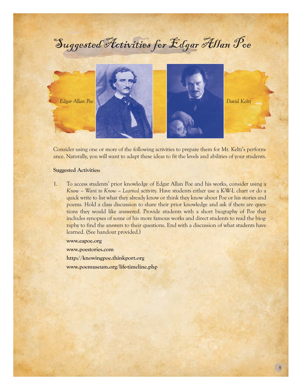# Suggested Activities for Edgar Allan Poe



Consider using one or more of the following activities to prepare them for Mr. Keltz's performance. Naturally, you will want to adapt these ideas to fit the levels and abilities of your students.

#### **Suggested Activities:**

1. To access students' prior knowledge of Edgar Allan Poe and his works, consider using a *Know – Want to Know – Learned* activity. Have students either use a K-W-L chart or do a quick write to list what they already know or think they know about Poe or his stories and poems. Hold a class discussion to share their prior knowledge and ask if there are questions they would like answered. Provide students with a short biography of Poe that includes synopses of some of his more famous works and direct students to read the biography to find the answers to their questions. End with a discussion of what students have learned. (See handout provided.)

**www.eapoe.org**

**www.poestories.com**

**http://knowingpoe.thinkport.org www.poemuseum.org/life-timeline.php**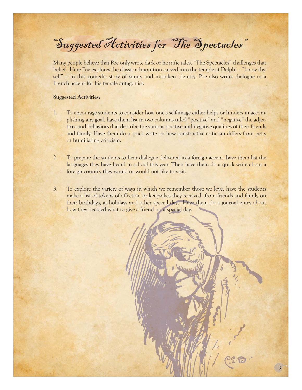# Suggested Activities for "The Spectacles"

Many people believe that Poe only wrote dark or horrific tales. "The Spectacles" challenges that belief. Here Poe explores the classic admonition carved into the temple at Delphi – "know thyself" – in this comedic story of vanity and mistaken identity. Poe also writes dialogue in a French accent for his female antagonist.

#### **Suggested Activities:**

- 1. To encourage students to consider how one's self-image either helps or hinders in accomplishing any goal, have them list in two columns titled "positive" and "negative" the adjectives and behaviors that describe the various positive and negative qualities of their friends and family. Have them do a quick write on how constructive criticism differs from petty or humiliating criticism.
- 2. To prepare the students to hear dialogue delivered in a foreign accent, have them list the languages they have heard in school this year. Then have them do a quick write about a foreign country they would or would not like to visit.
- 3. To explore the variety of ways in which we remember those we love, have the students make a list of tokens of affection or keepsakes they received from friends and family on their birthdays, at holidays and other special days. Have them do a journal entry about how they decided what to give a friend on a special day.

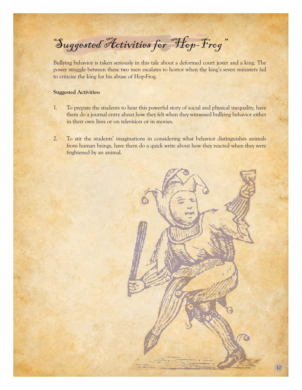Suggested Activities for "Hop-Frog"

Bullying behavior is taken seriously in this tale about a deformed court jester and a king. The power struggle between these two men escalates to horror when the king's seven ministers fail to criticize the king for his abuse of Hop-Frog.

#### **Suggested Activities:**

- 1. To prepare the students to hear this powerful story of social and physical inequality, have them do a journal entry about how they felt when they witnessed bullying behavior either in their own lives or on television or in movies.
- 2. To stir the students' imaginations in considering what behavior distinguishes animals from human beings, have them do a quick write about how they reacted when they were frightened by an animal.

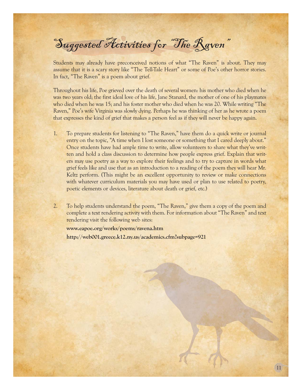Suggested Activities for "The Raven"

Students may already have preconceived notions of what "The Raven" is about. They may assume that it is a scary story like "The Tell-Tale Heart" or some of Poe's other horror stories. In fact, "The Raven" is a poem about grief.

Throughout his life, Poe grieved over the death of several women: his mother who died when he was two years old; the first ideal love of his life, Jane Stanard, the mother of one of his playmates who died when he was 15; and his foster mother who died when he was 20. While writing "The Raven," Poe's wife Virginia was slowly dying. Perhaps he was thinking of her as he wrote a poem that expresses the kind of grief that makes a person feel as if they will never be happy again.

- 1. To prepare students for listening to "The Raven," have them do a quick write or journal entry on the topic, "A time when I lost someone or something that I cared deeply about." Once students have had ample time to write, allow volunteers to share what they've written and hold a class discussion to determine how people express grief. Explain that writers may use poetry as a way to explore their feelings and to try to capture in words what grief feels like and use that as an introduction to a reading of the poem they will hear Mr. Keltz perform. (This might be an excellent opportunity to review or make connections with whatever curriculum materials you may have used or plan to use related to poetry, poetic elements or devices, literature about death or grief, etc.)
- 2. To help students understand the poem, "The Raven," give them a copy of the poem and complete a text rendering activity with them. For information about "The Raven" and text rendering visit the following web sites:

**www.eapoe.org/works/poems/ravena.htm http://web001.greece.k12.ny.us/academics.cfm?subpage=921**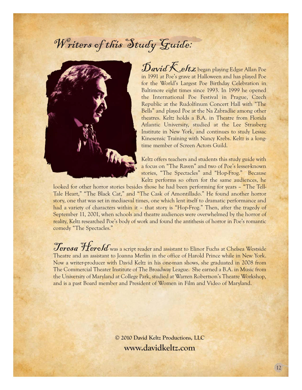# Writers of this Study Guide:



 $\mathcal{D}$ avid  $\mathcal{K}$  eltz began playing Edgar Allan Poe in 1991 at Poe's grave at Halloween and has played Poe for the World's Largest Poe Birthday Celebration in Baltimore eight times since 1993. In 1999 he opened the International Poe Festival in Prague, Czech Republic at the Rudolfinum Concert Hall with "The Bells" and played Poe at the Na Zabradlie among other theatres. Keltz holds a B.A. in Theatre from Florida Atlantic University, studied at the Lee Strasberg Institute in New York, and continues to study Lessac Kinesensic Training with Nancy Krebs. Keltz is a longtime member of Screen Actors Guild.

Keltz offers teachers and students this study guide with a focus on "The Raven" and two of Poe's lesser-known stories, "The Spectacles" and "Hop-Frog." Because Keltz performs so often for the same audiences, he

looked for other horror stories besides those he had been performing for years – "The Tell-Tale Heart," "The Black Cat," and "The Cask of Amontillado." He found another horror story, one that was set in mediaeval times, one which lent itself to dramatic performance and had a variety of characters within it - that story is "Hop-Frog." Then, after the tragedy of September 11, 2001, when schools and theatre audiences were overwhelmed by the horror of reality, Keltz researched Poe's body of work and found the antithesis of horror in Poe's romantic comedy "The Spectacles."

**Teresa Herold** was a script reader and assistant to Elinor Fuchs at Chelsea Westside Theatre and an assistant to Joanna Merlin in the office of Harold Prince while in New York. Now a writer-producer with David Keltz in his one-man shows, she graduated in 2008 from The Commercial Theater Institute of The Broadway League. She earned a B.A. in Music from the University of Maryland at College Park, studied at Warren Robertson's Theatre Workshop, and is a past Board member and President of Women in Film and Video of Maryland.

> **© 2010 David Keltz Productions, LLC www.davidkeltz.com**